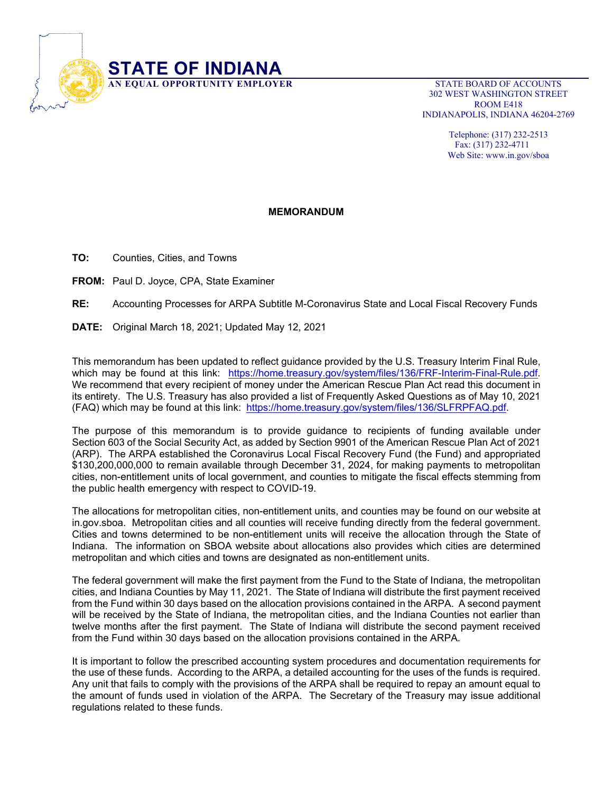

 302 WEST WASHINGTON STREET ROOM E418 INDIANAPOLIS, INDIANA 46204-2769

> Telephone: (317) 232-2513 Fax: (317) 232-4711 Web Site: www.in.gov/sboa

## **MEMORANDUM**

**TO:** Counties, Cities, and Towns

**FROM:** Paul D. Joyce, CPA, State Examiner

**RE:** Accounting Processes for ARPA Subtitle M-Coronavirus State and Local Fiscal Recovery Funds

**DATE:** Original March 18, 2021; Updated May 12, 2021

This memorandum has been updated to reflect guidance provided by the U.S. Treasury Interim Final Rule, which may be found at this link: https://home.treasury.gov/system/files/136/FRF-Interim-Final-Rule.pdf. We recommend that every recipient of money under the American Rescue Plan Act read this document in its entirety. The U.S. Treasury has also provided a list of Frequently Asked Questions as of May 10, 2021 (FAQ) which may be found at this link: https://home.treasury.gov/system/files/136/SLFRPFAQ.pdf.

The purpose of this memorandum is to provide guidance to recipients of funding available under Section 603 of the Social Security Act, as added by Section 9901 of the American Rescue Plan Act of 2021 (ARP). The ARPA established the Coronavirus Local Fiscal Recovery Fund (the Fund) and appropriated \$130,200,000,000 to remain available through December 31, 2024, for making payments to metropolitan cities, non-entitlement units of local government, and counties to mitigate the fiscal effects stemming from the public health emergency with respect to COVID-19.

The allocations for metropolitan cities, non-entitlement units, and counties may be found on our website at in.gov.sboa. Metropolitan cities and all counties will receive funding directly from the federal government. Cities and towns determined to be non-entitlement units will receive the allocation through the State of Indiana. The information on SBOA website about allocations also provides which cities are determined metropolitan and which cities and towns are designated as non-entitlement units.

The federal government will make the first payment from the Fund to the State of Indiana, the metropolitan cities, and Indiana Counties by May 11, 2021. The State of Indiana will distribute the first payment received from the Fund within 30 days based on the allocation provisions contained in the ARPA. A second payment will be received by the State of Indiana, the metropolitan cities, and the Indiana Counties not earlier than twelve months after the first payment. The State of Indiana will distribute the second payment received from the Fund within 30 days based on the allocation provisions contained in the ARPA.

It is important to follow the prescribed accounting system procedures and documentation requirements for the use of these funds. According to the ARPA, a detailed accounting for the uses of the funds is required. Any unit that fails to comply with the provisions of the ARPA shall be required to repay an amount equal to the amount of funds used in violation of the ARPA. The Secretary of the Treasury may issue additional regulations related to these funds.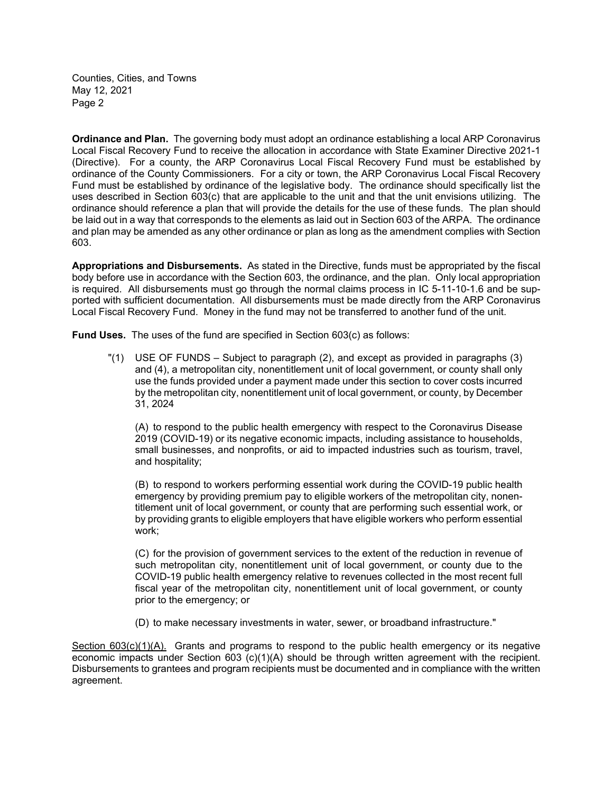**Ordinance and Plan.** The governing body must adopt an ordinance establishing a local ARP Coronavirus Local Fiscal Recovery Fund to receive the allocation in accordance with State Examiner Directive 2021-1 (Directive). For a county, the ARP Coronavirus Local Fiscal Recovery Fund must be established by ordinance of the County Commissioners. For a city or town, the ARP Coronavirus Local Fiscal Recovery Fund must be established by ordinance of the legislative body. The ordinance should specifically list the uses described in Section 603(c) that are applicable to the unit and that the unit envisions utilizing. The ordinance should reference a plan that will provide the details for the use of these funds. The plan should be laid out in a way that corresponds to the elements as laid out in Section 603 of the ARPA. The ordinance and plan may be amended as any other ordinance or plan as long as the amendment complies with Section 603.

**Appropriations and Disbursements.** As stated in the Directive, funds must be appropriated by the fiscal body before use in accordance with the Section 603, the ordinance, and the plan. Only local appropriation is required. All disbursements must go through the normal claims process in IC 5-11-10-1.6 and be supported with sufficient documentation. All disbursements must be made directly from the ARP Coronavirus Local Fiscal Recovery Fund. Money in the fund may not be transferred to another fund of the unit.

**Fund Uses.** The uses of the fund are specified in Section 603(c) as follows:

"(1) USE OF FUNDS – Subject to paragraph (2), and except as provided in paragraphs (3) and (4), a metropolitan city, nonentitlement unit of local government, or county shall only use the funds provided under a payment made under this section to cover costs incurred by the metropolitan city, nonentitlement unit of local government, or county, by December 31, 2024

(A) to respond to the public health emergency with respect to the Coronavirus Disease 2019 (COVID-19) or its negative economic impacts, including assistance to households, small businesses, and nonprofits, or aid to impacted industries such as tourism, travel, and hospitality;

(B) to respond to workers performing essential work during the COVID-19 public health emergency by providing premium pay to eligible workers of the metropolitan city, nonentitlement unit of local government, or county that are performing such essential work, or by providing grants to eligible employers that have eligible workers who perform essential work;

(C) for the provision of government services to the extent of the reduction in revenue of such metropolitan city, nonentitlement unit of local government, or county due to the COVID-19 public health emergency relative to revenues collected in the most recent full fiscal year of the metropolitan city, nonentitlement unit of local government, or county prior to the emergency; or

(D) to make necessary investments in water, sewer, or broadband infrastructure."

Section 603(c)(1)(A). Grants and programs to respond to the public health emergency or its negative economic impacts under Section 603 (c)(1)(A) should be through written agreement with the recipient. Disbursements to grantees and program recipients must be documented and in compliance with the written agreement.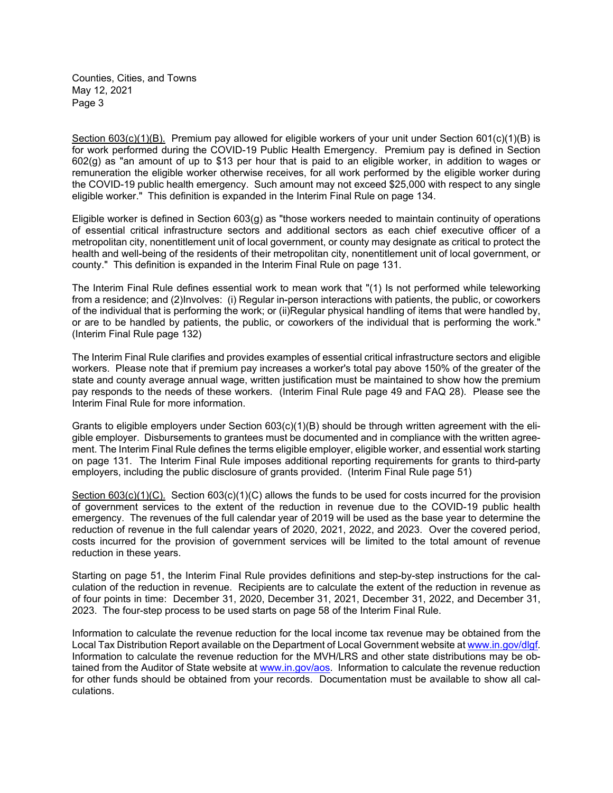Section 603(c)(1)(B). Premium pay allowed for eligible workers of your unit under Section 601(c)(1)(B) is for work performed during the COVID-19 Public Health Emergency. Premium pay is defined in Section 602(g) as "an amount of up to \$13 per hour that is paid to an eligible worker, in addition to wages or remuneration the eligible worker otherwise receives, for all work performed by the eligible worker during the COVID-19 public health emergency. Such amount may not exceed \$25,000 with respect to any single eligible worker." This definition is expanded in the Interim Final Rule on page 134.

Eligible worker is defined in Section 603(g) as "those workers needed to maintain continuity of operations of essential critical infrastructure sectors and additional sectors as each chief executive officer of a metropolitan city, nonentitlement unit of local government, or county may designate as critical to protect the health and well-being of the residents of their metropolitan city, nonentitlement unit of local government, or county." This definition is expanded in the Interim Final Rule on page 131.

The Interim Final Rule defines essential work to mean work that "(1) Is not performed while teleworking from a residence; and (2)Involves: (i) Regular in-person interactions with patients, the public, or coworkers of the individual that is performing the work; or (ii)Regular physical handling of items that were handled by, or are to be handled by patients, the public, or coworkers of the individual that is performing the work." (Interim Final Rule page 132)

The Interim Final Rule clarifies and provides examples of essential critical infrastructure sectors and eligible workers. Please note that if premium pay increases a worker's total pay above 150% of the greater of the state and county average annual wage, written justification must be maintained to show how the premium pay responds to the needs of these workers. (Interim Final Rule page 49 and FAQ 28). Please see the Interim Final Rule for more information.

Grants to eligible employers under Section  $603(c)(1)(B)$  should be through written agreement with the eligible employer. Disbursements to grantees must be documented and in compliance with the written agreement. The Interim Final Rule defines the terms eligible employer, eligible worker, and essential work starting on page 131. The Interim Final Rule imposes additional reporting requirements for grants to third-party employers, including the public disclosure of grants provided. (Interim Final Rule page 51)

Section 603(c)(1)(C). Section 603(c)(1)(C) allows the funds to be used for costs incurred for the provision of government services to the extent of the reduction in revenue due to the COVID-19 public health emergency. The revenues of the full calendar year of 2019 will be used as the base year to determine the reduction of revenue in the full calendar years of 2020, 2021, 2022, and 2023. Over the covered period, costs incurred for the provision of government services will be limited to the total amount of revenue reduction in these years.

Starting on page 51, the Interim Final Rule provides definitions and step-by-step instructions for the calculation of the reduction in revenue. Recipients are to calculate the extent of the reduction in revenue as of four points in time: December 31, 2020, December 31, 2021, December 31, 2022, and December 31, 2023. The four-step process to be used starts on page 58 of the Interim Final Rule.

Information to calculate the revenue reduction for the local income tax revenue may be obtained from the Local Tax Distribution Report available on the Department of Local Government website at www.in.gov/dlgf. Information to calculate the revenue reduction for the MVH/LRS and other state distributions may be obtained from the Auditor of State website at www.in.gov/aos. Information to calculate the revenue reduction for other funds should be obtained from your records. Documentation must be available to show all calculations.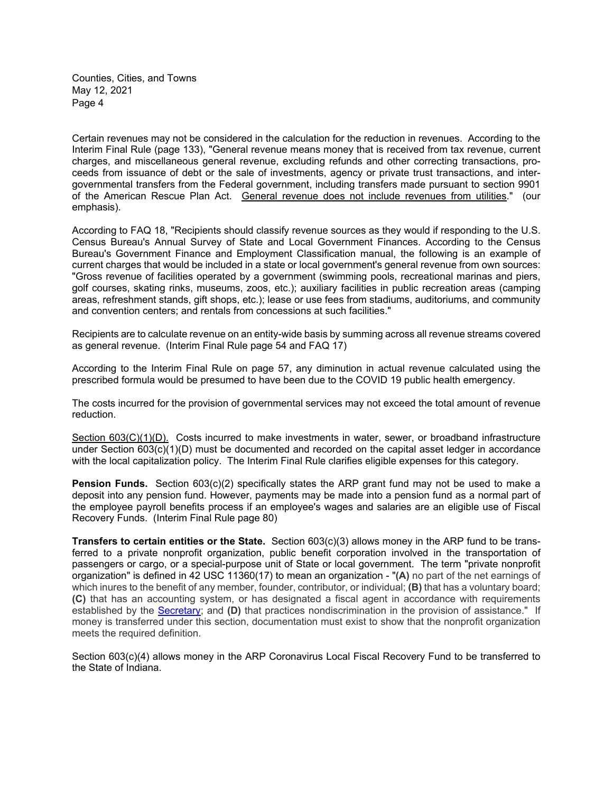Certain revenues may not be considered in the calculation for the reduction in revenues. According to the Interim Final Rule (page 133), "General revenue means money that is received from tax revenue, current charges, and miscellaneous general revenue, excluding refunds and other correcting transactions, proceeds from issuance of debt or the sale of investments, agency or private trust transactions, and intergovernmental transfers from the Federal government, including transfers made pursuant to section 9901 of the American Rescue Plan Act. General revenue does not include revenues from utilities." (our emphasis).

According to FAQ 18, "Recipients should classify revenue sources as they would if responding to the U.S. Census Bureau's Annual Survey of State and Local Government Finances. According to the Census Bureau's Government Finance and Employment Classification manual, the following is an example of current charges that would be included in a state or local government's general revenue from own sources: "Gross revenue of facilities operated by a government (swimming pools, recreational marinas and piers, golf courses, skating rinks, museums, zoos, etc.); auxiliary facilities in public recreation areas (camping areas, refreshment stands, gift shops, etc.); lease or use fees from stadiums, auditoriums, and community and convention centers; and rentals from concessions at such facilities."

Recipients are to calculate revenue on an entity-wide basis by summing across all revenue streams covered as general revenue. (Interim Final Rule page 54 and FAQ 17)

According to the Interim Final Rule on page 57, any diminution in actual revenue calculated using the prescribed formula would be presumed to have been due to the COVID 19 public health emergency.

The costs incurred for the provision of governmental services may not exceed the total amount of revenue reduction.

Section 603(C)(1)(D). Costs incurred to make investments in water, sewer, or broadband infrastructure under Section 603(c)(1)(D) must be documented and recorded on the capital asset ledger in accordance with the local capitalization policy. The Interim Final Rule clarifies eligible expenses for this category.

**Pension Funds.** Section 603(c)(2) specifically states the ARP grant fund may not be used to make a deposit into any pension fund. However, payments may be made into a pension fund as a normal part of the employee payroll benefits process if an employee's wages and salaries are an eligible use of Fiscal Recovery Funds. (Interim Final Rule page 80)

**Transfers to certain entities or the State.** Section 603(c)(3) allows money in the ARP fund to be transferred to a private nonprofit organization, public benefit corporation involved in the transportation of passengers or cargo, or a special-purpose unit of State or local government. The term "private nonprofit organization" is defined in 42 USC 11360(17) to mean an organization - "**(A)** no part of the net earnings of which inures to the benefit of any member, founder, contributor, or individual; **(B)** that has a voluntary board; **(C)** that has an accounting system, or has designated a fiscal agent in accordance with requirements established by the Secretary; and **(D)** that practices nondiscrimination in the provision of assistance." If money is transferred under this section, documentation must exist to show that the nonprofit organization meets the required definition.

Section 603(c)(4) allows money in the ARP Coronavirus Local Fiscal Recovery Fund to be transferred to the State of Indiana.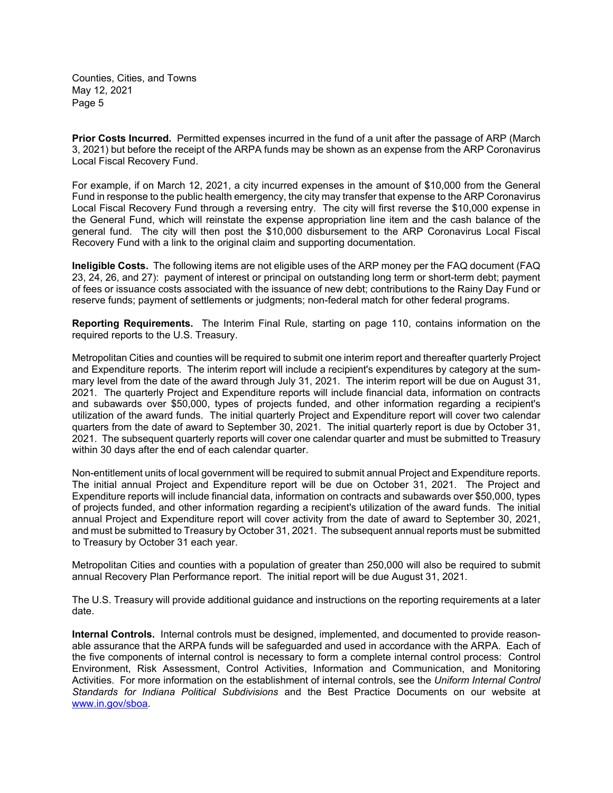**Prior Costs Incurred.** Permitted expenses incurred in the fund of a unit after the passage of ARP (March 3, 2021) but before the receipt of the ARPA funds may be shown as an expense from the ARP Coronavirus Local Fiscal Recovery Fund.

For example, if on March 12, 2021, a city incurred expenses in the amount of \$10,000 from the General Fund in response to the public health emergency, the city may transfer that expense to the ARP Coronavirus Local Fiscal Recovery Fund through a reversing entry. The city will first reverse the \$10,000 expense in the General Fund, which will reinstate the expense appropriation line item and the cash balance of the general fund. The city will then post the \$10,000 disbursement to the ARP Coronavirus Local Fiscal Recovery Fund with a link to the original claim and supporting documentation.

**Ineligible Costs.** The following items are not eligible uses of the ARP money per the FAQ document (FAQ 23, 24, 26, and 27): payment of interest or principal on outstanding long term or short-term debt; payment of fees or issuance costs associated with the issuance of new debt; contributions to the Rainy Day Fund or reserve funds; payment of settlements or judgments; non-federal match for other federal programs.

**Reporting Requirements.** The Interim Final Rule, starting on page 110, contains information on the required reports to the U.S. Treasury.

Metropolitan Cities and counties will be required to submit one interim report and thereafter quarterly Project and Expenditure reports. The interim report will include a recipient's expenditures by category at the summary level from the date of the award through July 31, 2021. The interim report will be due on August 31, 2021. The quarterly Project and Expenditure reports will include financial data, information on contracts and subawards over \$50,000, types of projects funded, and other information regarding a recipient's utilization of the award funds. The initial quarterly Project and Expenditure report will cover two calendar quarters from the date of award to September 30, 2021. The initial quarterly report is due by October 31, 2021. The subsequent quarterly reports will cover one calendar quarter and must be submitted to Treasury within 30 days after the end of each calendar quarter.

Non-entitlement units of local government will be required to submit annual Project and Expenditure reports. The initial annual Project and Expenditure report will be due on October 31, 2021. The Project and Expenditure reports will include financial data, information on contracts and subawards over \$50,000, types of projects funded, and other information regarding a recipient's utilization of the award funds. The initial annual Project and Expenditure report will cover activity from the date of award to September 30, 2021, and must be submitted to Treasury by October 31, 2021. The subsequent annual reports must be submitted to Treasury by October 31 each year.

Metropolitan Cities and counties with a population of greater than 250,000 will also be required to submit annual Recovery Plan Performance report. The initial report will be due August 31, 2021.

The U.S. Treasury will provide additional guidance and instructions on the reporting requirements at a later date.

**Internal Controls.** Internal controls must be designed, implemented, and documented to provide reasonable assurance that the ARPA funds will be safeguarded and used in accordance with the ARPA. Each of the five components of internal control is necessary to form a complete internal control process: Control Environment, Risk Assessment, Control Activities, Information and Communication, and Monitoring Activities. For more information on the establishment of internal controls, see the *Uniform Internal Control Standards for Indiana Political Subdivisions* and the Best Practice Documents on our website at www.in.gov/sboa.